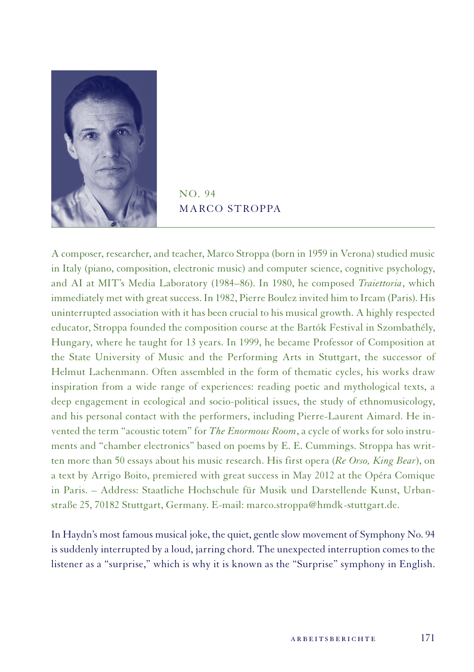

 $NO.94$ MARCO STROPPA

A composer, researcher, and teacher, Marco Stroppa (born in 1959 in Verona) studied music in Italy (piano, composition, electronic music) and computer science, cognitive psychology, and AI at MIT's Media Laboratory (1984–86). In 1980, he composed *Traiettoria*, which immediately met with great success. In 1982, Pierre Boulez invited him to Ircam (Paris). His uninterrupted association with it has been crucial to his musical growth. A highly respected educator, Stroppa founded the composition course at the Bartók Festival in Szombathély, Hungary, where he taught for 13 years. In 1999, he became Professor of Composition at the State University of Music and the Performing Arts in Stuttgart, the successor of Helmut Lachenmann. Often assembled in the form of thematic cycles, his works draw inspiration from a wide range of experiences: reading poetic and mythological texts, a deep engagement in ecological and socio-political issues, the study of ethnomusicology, and his personal contact with the performers, including Pierre-Laurent Aimard. He invented the term "acoustic totem" for *The Enormous Room*, a cycle of works for solo instruments and "chamber electronics" based on poems by E. E. Cummings. Stroppa has written more than 50 essays about his music research. His first opera (*Re Orso, King Bear*), on a text by Arrigo Boito, premiered with great success in May 2012 at the Opéra Comique in Paris. – Address: Staatliche Hochschule für Musik und Darstellende Kunst, Urbanstraße 25, 70182 Stuttgart, Germany. E-mail: marco.stroppa@hmdk-stuttgart.de.

In Haydn's most famous musical joke, the quiet, gentle slow movement of Symphony No. 94 is suddenly interrupted by a loud, jarring chord. The unexpected interruption comes to the listener as a "surprise," which is why it is known as the "Surprise" symphony in English.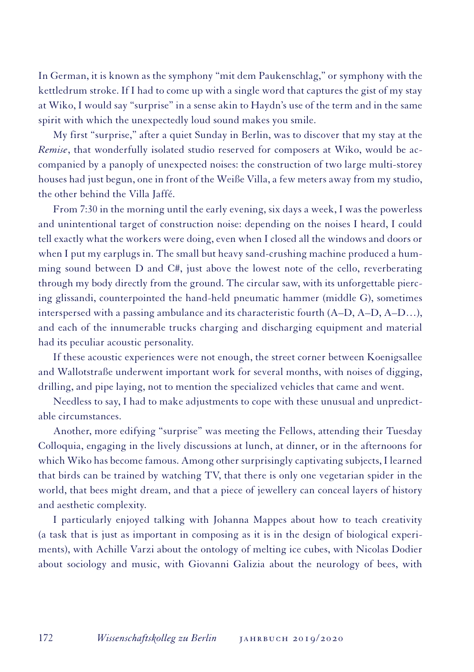In German, it is known as the symphony "mit dem Paukenschlag," or symphony with the kettledrum stroke. If I had to come up with a single word that captures the gist of my stay at Wiko, I would say "surprise" in a sense akin to Haydn's use of the term and in the same spirit with which the unexpectedly loud sound makes you smile.

My first "surprise," after a quiet Sunday in Berlin, was to discover that my stay at the *Remise*, that wonderfully isolated studio reserved for composers at Wiko, would be accompanied by a panoply of unexpected noises: the construction of two large multi-storey houses had just begun, one in front of the Weiße Villa, a few meters away from my studio, the other behind the Villa Jaffé.

From 7:30 in the morning until the early evening, six days a week, I was the powerless and unintentional target of construction noise: depending on the noises I heard, I could tell exactly what the workers were doing, even when I closed all the windows and doors or when I put my earplugs in. The small but heavy sand-crushing machine produced a humming sound between D and C#, just above the lowest note of the cello, reverberating through my body directly from the ground. The circular saw, with its unforgettable piercing glissandi, counterpointed the hand-held pneumatic hammer (middle G), sometimes interspersed with a passing ambulance and its characteristic fourth (A–D, A–D, A–D…), and each of the innumerable trucks charging and discharging equipment and material had its peculiar acoustic personality.

If these acoustic experiences were not enough, the street corner between Koenigsallee and Wallotstraße underwent important work for several months, with noises of digging, drilling, and pipe laying, not to mention the specialized vehicles that came and went.

Needless to say, I had to make adjustments to cope with these unusual and unpredictable circumstances.

Another, more edifying "surprise" was meeting the Fellows, attending their Tuesday Colloquia, engaging in the lively discussions at lunch, at dinner, or in the afternoons for which Wiko has become famous. Among other surprisingly captivating subjects, I learned that birds can be trained by watching TV, that there is only one vegetarian spider in the world, that bees might dream, and that a piece of jewellery can conceal layers of history and aesthetic complexity.

I particularly enjoyed talking with Johanna Mappes about how to teach creativity (a task that is just as important in composing as it is in the design of biological experiments), with Achille Varzi about the ontology of melting ice cubes, with Nicolas Dodier about sociology and music, with Giovanni Galizia about the neurology of bees, with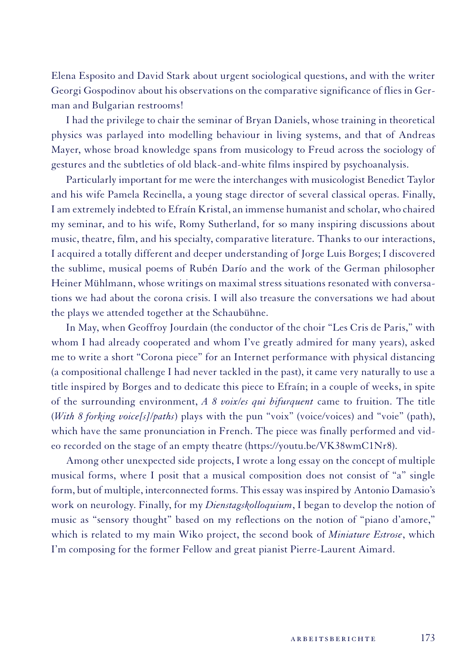Elena Esposito and David Stark about urgent sociological questions, and with the writer Georgi Gospodinov about his observations on the comparative significance of flies in German and Bulgarian restrooms!

I had the privilege to chair the seminar of Bryan Daniels, whose training in theoretical physics was parlayed into modelling behaviour in living systems, and that of Andreas Mayer, whose broad knowledge spans from musicology to Freud across the sociology of gestures and the subtleties of old black-and-white films inspired by psychoanalysis.

Particularly important for me were the interchanges with musicologist Benedict Taylor and his wife Pamela Recinella, a young stage director of several classical operas. Finally, I am extremely indebted to Efraín Kristal, an immense humanist and scholar, who chaired my seminar, and to his wife, Romy Sutherland, for so many inspiring discussions about music, theatre, film, and his specialty, comparative literature. Thanks to our interactions, I acquired a totally different and deeper understanding of Jorge Luis Borges; I discovered the sublime, musical poems of Rubén Darío and the work of the German philosopher Heiner Mühlmann, whose writings on maximal stress situations resonated with conversations we had about the corona crisis. I will also treasure the conversations we had about the plays we attended together at the Schaubühne.

In May, when Geoffroy Jourdain (the conductor of the choir "Les Cris de Paris," with whom I had already cooperated and whom I've greatly admired for many years), asked me to write a short "Corona piece" for an Internet performance with physical distancing (a compositional challenge I had never tackled in the past), it came very naturally to use a title inspired by Borges and to dedicate this piece to Efraín; in a couple of weeks, in spite of the surrounding environment, *A 8 voix/es qui bifurquent* came to fruition. The title (*With 8 forking voice[s]/paths*) plays with the pun "voix" (voice/voices) and "voie" (path), which have the same pronunciation in French. The piece was finally performed and video recorded on the stage of an empty theatre (https://youtu.be/VK38wmC1Nr8).

Among other unexpected side projects, I wrote a long essay on the concept of multiple musical forms, where I posit that a musical composition does not consist of "a" single form, but of multiple, interconnected forms. This essay was inspired by Antonio Damasio's work on neurology. Finally, for my *Dienstagskolloquium*, I began to develop the notion of music as "sensory thought" based on my reflections on the notion of "piano d'amore," which is related to my main Wiko project, the second book of *Miniature Estrose*, which I'm composing for the former Fellow and great pianist Pierre-Laurent Aimard.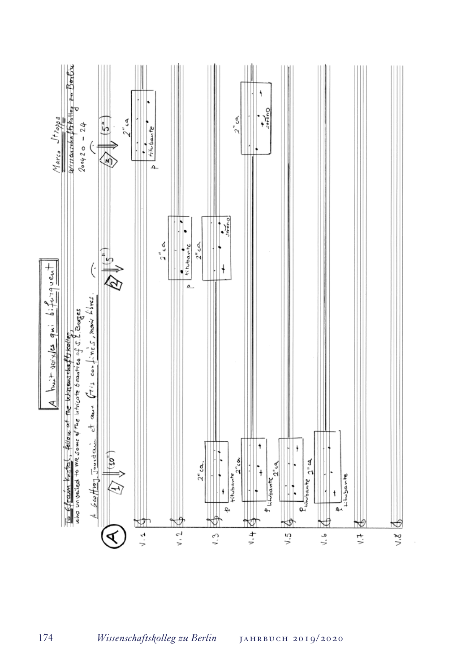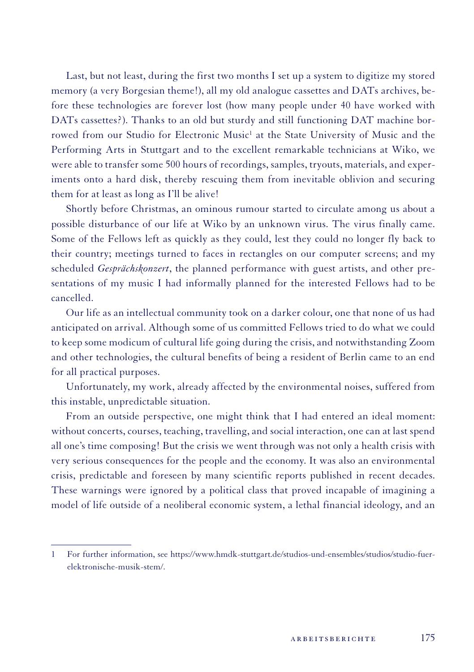Last, but not least, during the first two months I set up a system to digitize my stored memory (a very Borgesian theme!), all my old analogue cassettes and DATs archives, before these technologies are forever lost (how many people under 40 have worked with DATs cassettes?). Thanks to an old but sturdy and still functioning DAT machine borrowed from our Studio for Electronic Music<sup>1</sup> at the State University of Music and the Performing Arts in Stuttgart and to the excellent remarkable technicians at Wiko, we were able to transfer some 500 hours of recordings, samples, tryouts, materials, and experiments onto a hard disk, thereby rescuing them from inevitable oblivion and securing them for at least as long as I'll be alive!

Shortly before Christmas, an ominous rumour started to circulate among us about a possible disturbance of our life at Wiko by an unknown virus. The virus finally came. Some of the Fellows left as quickly as they could, lest they could no longer fly back to their country; meetings turned to faces in rectangles on our computer screens; and my scheduled *Gesprächskonzert*, the planned performance with guest artists, and other presentations of my music I had informally planned for the interested Fellows had to be cancelled.

Our life as an intellectual community took on a darker colour, one that none of us had anticipated on arrival. Although some of us committed Fellows tried to do what we could to keep some modicum of cultural life going during the crisis, and notwithstanding Zoom and other technologies, the cultural benefits of being a resident of Berlin came to an end for all practical purposes.

Unfortunately, my work, already affected by the environmental noises, suffered from this instable, unpredictable situation.

From an outside perspective, one might think that I had entered an ideal moment: without concerts, courses, teaching, travelling, and social interaction, one can at last spend all one's time composing! But the crisis we went through was not only a health crisis with very serious consequences for the people and the economy. It was also an environmental crisis, predictable and foreseen by many scientific reports published in recent decades. These warnings were ignored by a political class that proved incapable of imagining a model of life outside of a neoliberal economic system, a lethal financial ideology, and an

<sup>1</sup> For further information, see https://www.hmdk-stuttgart.de/studios-und-ensembles/studios/studio-fuerelektronische-musik-stem/.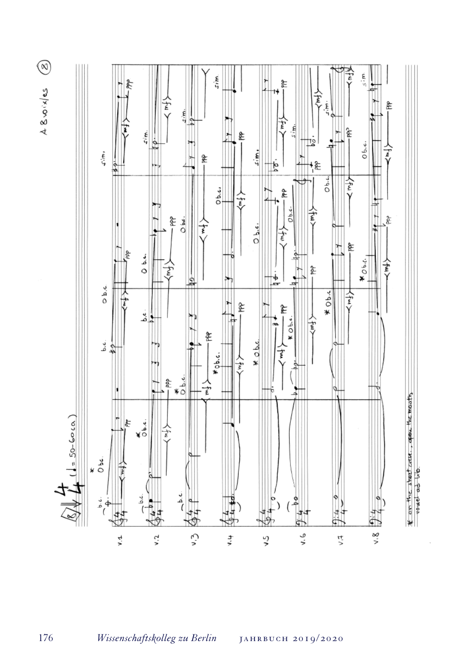